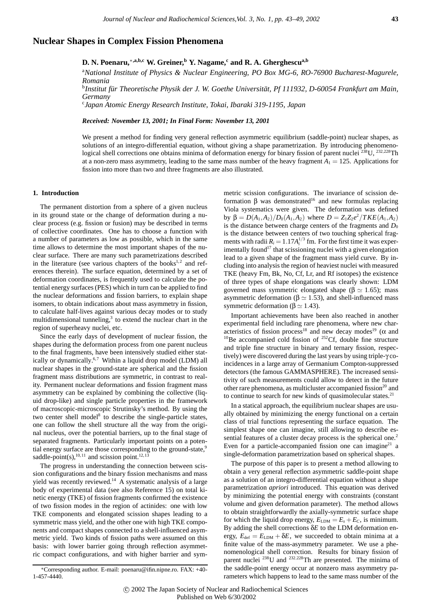# **Nuclear Shapes in Complex Fission Phenomena**

# **D. N. Poenaru,**∗**,a,b,c W. Greiner,<sup>b</sup> Y. Nagame,<sup>c</sup> and R. A. Gherghescua,b**

a *National Institute of Physics & Nuclear Engineering, PO Box MG-6, RO-76900 Bucharest-Magurele, Romania*

<sup>b</sup>Institut für Theoretische Physik der J. W. Goethe Universität, Pf 111932, D-60054 Frankfurt am Main, *Germany*

c *Japan Atomic Energy Research Institute, Tokai, Ibaraki 319-1195, Japan*

*Received: November 13, 2001; In Final Form: November 13, 2001*

We present a method for finding very general reflection asymmetric equilibrium (saddle-point) nuclear shapes, as solutions of an integro-differential equation, without giving a shape parametrization. By introducing phenomenological shell corrections one obtains minima of deformation energy for binary fission of parent nuclei <sup>238</sup>U, <sup>232,228</sup>Th at a non-zero mass asymmetry, leading to the same mass number of the heavy fragment  $A_1 = 125$ . Applications for fission into more than two and three fragments are also illustrated.

### **1. Introduction**

The permanent distortion from a sphere of a given nucleus in its ground state or the change of deformation during a nuclear process (e.g. fission or fusion) may be described in terms of collective coordinates. One has to choose a function with a number of parameters as low as possible, which in the same time allows to determine the most important shapes of the nuclear surface. There are many such parametrizations described in the literature (see various chapters of the books $1,2$  and references therein). The surface equation, determined by a set of deformation coordinates, is frequently used to calculate the potential energy surfaces (PES) which in turn can be applied to find the nuclear deformations and fission barriers, to explain shape isomers, to obtain indications about mass asymmetry in fission, to calculate half-lives against various decay modes or to study multidimensional tunneling, $3$  to extend the nuclear chart in the region of superheavy nuclei, etc.

Since the early days of development of nuclear fission, the shapes during the deformation process from one parent nucleus to the final fragments, have been intensively studied either statically or dynamically.<sup>6,7</sup> Within a liquid drop model (LDM) all nuclear shapes in the ground-state are spherical and the fission fragment mass distributions are symmetric, in contrast to reality. Permanent nuclear deformations and fission fragment mass asymmetry can be explained by combining the collective (liquid drop-like) and single particle properties in the framework of macroscopic-microscopic Strutinsky's method. By using the two center shell model<sup>8</sup> to describe the single-particle states, one can follow the shell structure all the way from the original nucleus, over the potential barriers, up to the final stage of separated fragments. Particularly important points on a potential energy surface are those corresponding to the ground-state,<sup>9</sup> saddle-point(s),<sup>10,11</sup> and scission point.<sup>12,1</sup>

The progress in understanding the connection between scission configurations and the binary fission mechanisms and mass yield was recently reviewed.<sup>14</sup> A systematic analysis of a large body of experimental data (see also Reference 15) on total kinetic energy (TKE) of fission fragments confirmed the existence of two fission modes in the region of actinides: one with low TKE components and elongated scission shapes leading to a symmetric mass yield, and the other one with high TKE components and compact shapes connected to a shell-influenced asymmetric yield. Two kinds of fission paths were assumed on this basis: with lower barrier going through reflection asymmetric compact configurations, and with higher barrier and sym-

∗Corresponding author. E-mail: poenaru@ifin.nipne.ro. FAX: +40- 1-457-4440.

metric scission configurations. The invariance of scission deformation β was demonstrated<sup>16</sup> and new formulas replacing Viola systematics were given. The deformation was defined  $b$ y β =  $D(A_1, A_2)/D_0(A_1, A_2)$  where  $D = Z_1Z_2e^2/TKE(A_1, A_2)$ is the distance between charge centers of the fragments and  $D_0$ is the distance between centers of two touching spherical fragments with radii  $R_i = 1.17A_i^{1/3}$  fm. For the first time it was experimentally found<sup>17</sup> that scissioning nuclei with a given elongation lead to a given shape of the fragment mass yield curve. By including into analysis the region of heaviest nuclei with measured TKE (heavy Fm, Bk, No, Cf, Lr, and Rf isotopes) the existence of three types of shape elongations was clearly shown: LDM governed mass symmetric elongated shape ( $β \simeq 1.65$ ); mass asymmetric deformation ( $β \approx 1.53$ ), and shell-influenced mass symmetric deformation ( $β \approx 1.43$ ).

Important achievements have been also reached in another experimental field including rare phenomena, where new characteristics of fission process<sup>18</sup> and new decay modes<sup>19</sup> ( $\alpha$  and <sup>10</sup>Be accompanied cold fission of <sup>252</sup>Cf, double fine structure and triple fine structure in binary and ternary fission, respectively) were discovered during the last years by using triple-γ coincidences in a large array of Germanium Compton-suppressed detectors (the famous GAMMASPHERE). The increased sensitivity of such measurements could allow to detect in the future other rare phenomena, as multicluster accompanied fission<sup>20</sup> and to continue to search for new kinds of quasimolecular states.<sup>21</sup>

In a statical approach, the equilibrium nuclear shapes are usually obtained by minimizing the energy functional on a certain class of trial functions representing the surface equation. The simplest shape one can imagine, still allowing to describe essential features of a cluster decay process is the spherical one.<sup>2</sup> Even for a particle-accompanied fission one can imagine<sup>21</sup> a single-deformation parametrization based on spherical shapes.

The purpose of this paper is to present a method allowing to obtain a very general reflection asymmetric saddle-point shape as a solution of an integro-differential equation without a shape parametrization *apriori* introduced. This equation was derived by minimizing the potential energy with constraints (constant volume and given deformation parameter). The method allows to obtain straightforwardly the axially-symmetric surface shape for which the liquid drop energy,  $E_{LDM} = E_s + E_c$ , is minimum. By adding the shell corrections δ*E* to the LDM deformation energy,  $E_{\text{def}} = E_{\text{LDM}} + \delta E$ , we succeeded to obtain minima at a finite value of the mass-asymmetry parameter. We use a phenomenological shell correction. Results for binary fission of parent nuclei 238U and <sup>232</sup>*,*228Th are presented. The minima of the saddle-point energy occur at nonzero mass asymmetry parameters which happens to lead to the same mass number of the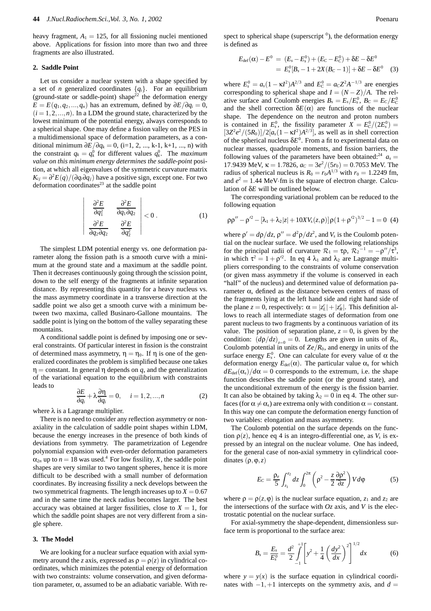heavy fragment,  $A_1 = 125$ , for all fissioning nuclei mentioned above. Applications for fission into more than two and three fragments are also illustrated.

## **2. Saddle Point**

Let us consider a nuclear system with a shape specified by a set of *n* generalized coordinates  $\{q_i\}$ . For an equilibrium (ground-state or saddle-point) shape<sup>22</sup> the deformation energy  $E = E(q_1, q_2, \ldots, q_n)$  has an extremum, defined by  $\partial E/\partial q_i = 0$ ,  $(i = 1, 2, \ldots, n)$ . In a LDM the ground state, characterized by the lowest minimum of the potential energy, always corresponds to a spherical shape. One may define a fission valley on the PES in a multidimensional space of deformation parameters, as a conditional minimum  $∂E/∂q_k = 0$ , (i=1, 2, ..., k-1, k+1, ..., n) with the constraint  $q_k = q_k^0$  for different values  $q_k^0$ . The *maximum value on this minimum energy determines the saddle-point* position, at which all eigenvalues of the symmetric curvature matrix  $K_{ij} = \frac{\partial^2 E(q)}{\partial q_i \partial q_j}$  have a positive sign, except one. For two deformation coordinates $^{23}$  at the saddle point

$$
\begin{vmatrix}\n\frac{\partial^2 E}{\partial q_1^2} & \frac{\partial^2 E}{\partial q_1 \partial q_2} \\
\frac{\partial^2 E}{\partial q_2 \partial q_2} & \frac{\partial^2 E}{\partial q_2^2}\n\end{vmatrix} < 0.
$$
\n(1)

The simplest LDM potential energy vs. one deformation parameter along the fission path is a smooth curve with a minimum at the ground state and a maximum at the saddle point. Then it decreases continuously going through the scission point, down to the self energy of the fragments at infinite separation distance. By representing this quantity for a heavy nucleus vs. the mass asymmetry coordinate in a transverse direction at the saddle point we also get a smooth curve with a minimum between two maxima, called Businaro-Gallone mountains. The saddle point is lying on the bottom of the valley separating these mountains.

A conditional saddle point is defined by imposing one or several constraints. Of particular interest in fission is the constraint of determined mass asymmetry,  $\eta = \eta_0$ . If  $\eta$  is one of the generalized coordinates the problem is simplified because one takes  $\eta$  = constant. In general  $\eta$  depends on *q*, and the generalization of the variational equation to the equilibrium with constraints leads to

$$
\frac{\partial E}{\partial q_i} + \lambda \frac{\partial \eta}{\partial q_i} = 0, \quad i = 1, 2, ..., n
$$
 (2)

where  $\lambda$  is a Lagrange multiplier.

There is no need to consider any reflection asymmetry or nonaxiality in the calculation of saddle point shapes within LDM, because the energy increases in the presence of both kinds of deviations from symmetry. The parametrization of Legendre polynomial expansion with even-order deformation parameters  $\alpha_{2n}$  up to  $n = 18$  was used.<sup>4</sup> For low fissility, *X*, the saddle point shapes are very similar to two tangent spheres, hence it is more difficult to be described with a small number of deformation coordinates. By increasing fissility a neck develops between the two symmetrical fragments. The length increases up to  $X = 0.67$ and in the same time the neck radius becomes larger. The best accuracy was obtained at larger fissilities, close to  $X = 1$ , for which the saddle point shapes are not very different from a single sphere.

#### **3. The Model**

We are looking for a nuclear surface equation with axial symmetry around the *z* axis, expressed as  $\rho = \rho(z)$  in cylindrical coordinates, which minimizes the potential energy of deformation with two constraints: volume conservation, and given deformation parameter,  $\alpha$ , assumed to be an adiabatic variable. With re-

spect to spherical shape (superscript  $\delta$ ), the deformation energy is defined as

$$
E_{\text{def}}(\alpha) - E^0 = (E_s - E_s^0) + (E_C - E_C^0) + \delta E - \delta E^0
$$
  
= 
$$
E_s^0[B_s - 1 + 2X(B_C - 1)] + \delta E - \delta E^0
$$
 (3)

where  $E_s^0 = a_s(1 - \kappa I^2)A^{2/3}$  and  $E_c^0 = a_c Z^2 A^{-1/3}$  are energies corresponding to spherical shape and  $I = (N - Z)/A$ . The relative surface and Coulomb energies  $B_s = E_s/E_s^0$ ,  $B_c = E_c/E_c^0$ and the shell correction  $\delta E(\alpha)$  are functions of the nuclear shape. The dependence on the neutron and proton numbers is contained in  $E_s^0$ , the fissility parameter  $X = E_c^0/(2E_s^0)$  $[3Z^2e^2/(5R_0)]/2[a_s(1-\kappa I^2)A^{2/3}]$ , as well as in shell correction of the spherical nucleus  $\delta E^0$ . From a fit to experimental data on nuclear masses, quadrupole moments, and fission barriers, the following values of the parameters have been obtained:<sup>24</sup>  $a_s =$ 17.9439 MeV,  $\kappa = 1.7826$ ,  $a_C = 3e^2/(5r_0) = 0.7053$  MeV. The radius of spherical nucleus is  $R_0 = r_0 A^{1/3}$  with  $r_0 = 1.2249$  fm, and  $e^2 = 1.44$  MeV·fm is the square of electron charge. Calculation of δ*E* will be outlined below.

The corresponding variational problem can be reduced to the following equation

$$
\rho \rho'' - \rho'^2 - [\lambda_1 + \lambda_2 |z| + 10X V_s(z, \rho)] \rho (1 + \rho'^2)^{3/2} - 1 = 0 \tag{4}
$$

where  $\rho' = d\rho/dz$ ,  $\rho'' = d^2\rho/dz^2$ , and  $V_s$  is the Coulomb potential on the nuclear surface. We used the following relationships for the principal radii of curvature  $\mathcal{R}_1 = \tau \rho$ ,  $\mathcal{R}_2^{-1} = -\rho''/\tau^3$ , in which  $\tau^2 = 1 + \rho'^2$ . In eq 4  $\lambda_1$  and  $\lambda_2$  are Lagrange multipliers corresponding to the constraints of volume conservation (or given mass asymmetry if the volume is conserved in each "half" of the nucleus) and determined value of deformation parameter α, defined as the distance between centers of mass of the fragments lying at the left hand side and right hand side of the plane  $z = 0$ , respectively:  $\alpha = |z_L^c| + |z_R^c|$ . This definition allows to reach all intermediate stages of deformation from one parent nucleus to two fragments by a continuous variation of its value. The position of separation plane,  $z = 0$ , is given by the condition:  $(d\rho/dz)_{z=0} = 0$ . Lengths are given in units of  $R_0$ , Coulomb potential in units of *Ze/R*0, and energy in units of the surface energy  $E_s^0$ . One can calculate for every value of  $\alpha$  the deformation energy  $E_{\text{def}}(\alpha)$ . The particular value  $\alpha_s$  for which  $dE_{\text{def}}(\alpha_s)/d\alpha = 0$  corresponds to the extremum, i.e. the shape function describes the saddle point (or the ground state), and the unconditional extremum of the energy is the fission barrier. It can also be obtained by taking  $\lambda_2 = 0$  in eq 4. The other surfaces (for  $\alpha \neq \alpha_s$ ) are extrema only with condition  $\alpha$  = constant. In this way one can compute the deformation energy function of two variables: elongation and mass asymmetry.

The Coulomb potential on the surface depends on the function  $\rho(z)$ , hence eq 4 is an integro-differential one, as  $V_s$  is expressed by an integral on the nuclear volume. One has indeed, for the general case of non-axial symmetry in cylindrical coordinates (ρ*,*ϕ*,z*)

$$
E_C = \frac{\rho_e}{5} \int_{z_1}^{z_2} dz \int_0^{2\pi} \left( \rho^2 - \frac{z}{2} \frac{\partial \rho^2}{\partial z} \right) V d\phi \tag{5}
$$

where  $\rho = \rho(z, \varphi)$  is the nuclear surface equation,  $z_1$  and  $z_2$  are the intersections of the surface with  $Oz$  axis, and  $V$  is the electrostatic potential on the nuclear surface.

For axial-symmetry the shape-dependent, dimensionless surface term is proportional to the surface area:

$$
B_s = \frac{E_s}{E_s^0} = \frac{d^2}{2} \int_{-1}^{+1} \left[ y^2 + \frac{1}{4} \left( \frac{dy^2}{dx} \right)^2 \right]^{1/2} dx \tag{6}
$$

where  $y = y(x)$  is the surface equation in cylindrical coordinates with  $-1$ , +1 intercepts on the symmetry axis, and  $d =$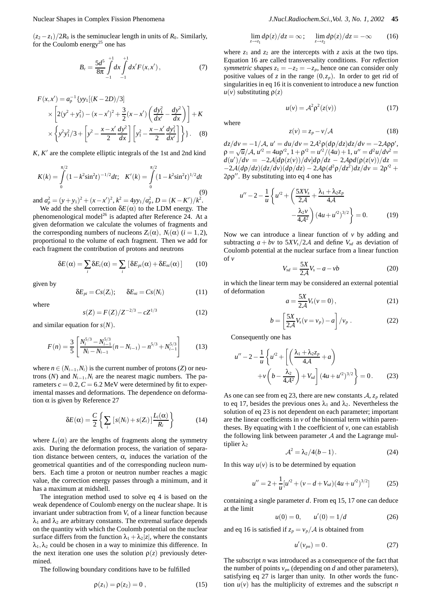$(z_2 - z_1)/2R_0$  is the seminuclear length in units of  $R_0$ . Similarly, for the Coulomb energy<sup>25</sup> one has

$$
B_c = \frac{5d^5}{8\pi} \int_{-1}^{+1} dx \int_{-1}^{+1} dx' F(x, x'), \qquad (7)
$$

$$
F(x, x') = a_{\rho}^{-1} \{ y y_1 [(K - 2D)/3] \}
$$
  
 
$$
\times \left[ 2(y^2 + y_1^2) - (x - x')^2 + \frac{3}{2} (x - x') \left( \frac{dy_1^2}{dx'} - \frac{dy^2}{dx} \right) \right] + K
$$
  
 
$$
\times \left\{ y^2 y_1^2 / 3 + \left[ y^2 - \frac{x - x'}{2} \frac{dy^2}{dx} \right] \left[ y_1^2 - \frac{x - x'}{2} \frac{dy_1^2}{dx'} \right] \right\}.
$$
 (8)

*K*, *K*- are the complete elliptic integrals of the 1st and 2nd kind

$$
K(k) = \int_{0}^{\pi/2} (1 - k^2 \sin^2 t)^{-1/2} dt; \quad K'(k) = \int_{0}^{\pi/2} (1 - k^2 \sin^2 t)^{1/2} dt
$$
\n(9)

and  $a_p^2 = (y + y_1)^2 + (x - x')^2$ ,  $k^2 = 4yy_1/a_p^2$ ,  $D = (K - K')/k^2$ . We add the shell correction  $\delta E(\alpha)$  to the LDM energy. The

phenomenological model<sup>26</sup> is adapted after Reference 24. At a given deformation we calculate the volumes of fragments and the corresponding numbers of nucleons  $Z_i(\alpha)$ ,  $N_i(\alpha)$  ( $i = 1, 2$ ), proportional to the volume of each fragment. Then we add for each fragment the contribution of protons and neutrons

$$
\delta E(\alpha) = \sum_{i} \delta E_{i}(\alpha) = \sum_{i} \left[ \delta E_{pi}(\alpha) + \delta E_{ni}(\alpha) \right]
$$
 (10)

given by

$$
\delta E_{pi} = Cs(Z_i); \qquad \delta E_{ni} = Cs(N_i)
$$
 (11)

where

$$
s(Z) = F(Z)/Z^{-2/3} - cZ^{1/3}
$$
 (12)

and similar equation for *s*(*N*).

$$
F(n) = \frac{3}{5} \left[ \frac{N_i^{5/3} - N_{i-1}^{5/3}}{N_i - N_{i-1}} (n - N_{i-1}) - n^{5/3} + N_{i-1}^{5/3} \right]
$$
(13)

where  $n \in (N_{i-1}, N_i)$  is the current number of protons (*Z*) or neutrons  $(N)$  and  $N_{i-1}$ ,  $N_i$  are the nearest magic numbers. The parameters  $c = 0.2$ ,  $C = 6.2$  MeV were determined by fit to experimental masses and deformations. The dependence on deformation  $α$  is given by Reference 27

$$
\delta E(\alpha) = \frac{C}{2} \left\{ \sum_{i} \left[ s(N_i) + s(Z_i) \right] \frac{L_i(\alpha)}{R_i} \right\} \tag{14}
$$

where  $L_i(\alpha)$  are the lengths of fragments along the symmetry axis. During the deformation process, the variation of separation distance between centers, α, induces the variation of the geometrical quantities and of the corresponding nucleon numbers. Each time a proton or neutron number reaches a magic value, the correction energy passes through a minimum, and it has a maximum at midshell.

The integration method used to solve eq 4 is based on the weak dependence of Coulomb energy on the nuclear shape. It is invariant under subtraction from  $V<sub>s</sub>$  of a linear function because  $\lambda_1$  and  $\lambda_2$  are arbitrary constants. The extremal surface depends on the quantity with which the Coulomb potential on the nuclear surface differs from the function  $\lambda_1 + \lambda_2 |z|$ , where the constants  $\lambda_1, \lambda_2$  could be chosen in a way to minimize this difference. In the next iteration one uses the solution  $\rho(z)$  previously determined.

The following boundary conditions have to be fulfilled

$$
\rho(z_1) = \rho(z_2) = 0 \,, \tag{15}
$$

$$
\lim_{z \to z_1} d\rho(z)/dz = \infty; \quad \lim_{z \to z_2} d\rho(z)/dz = -\infty \quad (16)
$$

where  $z_1$  and  $z_2$  are the intercepts with  $z$  axis at the two tips. Equation 16 are called transversality conditions. For *reflection symmetric shapes*  $z_1 = -z_2 = -z_p$ , hence one can consider only positive values of *z* in the range  $(0, z_p)$ . In order to get rid of singularities in eq 16 it is convenient to introduce a new function  $u(v)$  substituting  $\rho(z)$ 

$$
u(v) = A^2 \rho^2(z(v)) \tag{17}
$$

where

$$
z(v) = z_p - v/A \tag{18}
$$

 $dz/dv = -1/A$ ,  $u' = du/dv = 2A^2 \rho (d\rho/dz) dz/dv = -2A\rho \rho',$  $\rho = \sqrt{u}/A, u'^2 = 4u\rho'^2, 1 + \rho'^2 = u'^2/(4u) + 1, u'' = d^2u/dv^2 =$  $d(u')/dv = -2\mathcal{A}[d\rho(z(v))/dv]d\rho/dz - 2\mathcal{A}\rho d(\rho(z(v))/dz)$  $-2\mathcal{A}(d\rho/dz)(dz/dv)(d\rho/dz) - 2\mathcal{A}\rho(d^2\rho/dz^2)dz/dv = 2\rho'^2 +$  $2\rho\rho''$ . By substituting into eq 4 one has

$$
u'' - 2 - \frac{1}{u} \left\{ u'^2 + \left( \frac{5X V_s}{2\mathcal{A}} + \frac{\lambda_1 + \lambda_2 z_p}{4\mathcal{A}} - \frac{\lambda_2 v}{4\mathcal{A}^2} \right) (4u + u'^2)^{3/2} \right\} = 0.
$$
 (19)

Now we can introduce a linear function of *v* by adding and subtracting  $a + bv$  to  $5XY_s/2A$  and define  $V_{sd}$  as deviation of Coulomb potential at the nuclear surface from a linear function of *v*

$$
V_{sd} = \frac{5X}{2\mathcal{A}} V_s - a - v b \tag{20}
$$

in which the linear term may be considered an external potential of deformation

$$
a = \frac{5X}{2\mathcal{A}} V_s(\nu = 0), \qquad (21)
$$

$$
b = \left[\frac{5X}{2\mathcal{A}}V_s(v=v_p) - a\right]/v_p \tag{22}
$$

Consequently one has

$$
u'' - 2 - \frac{1}{u} \left\{ u'^2 + \left[ \left( \frac{\lambda_1 + \lambda_2 z_p}{4\mathcal{A}} + a \right) + v \left( b - \frac{\lambda_2}{4\mathcal{A}^2} \right) + V_{sd} \right] (4u + u'^2)^{3/2} \right\} = 0. \tag{23}
$$

As one can see from eq 23, there are new constants  $A$ ,  $z_p$  related to eq 17, besides the previous ones  $\lambda_1$  and  $\lambda_2$ . Nevertheless the solution of eq 23 is not dependent on each parameter; important are the linear coefficients in  $\nu$  of the binomial term within parentheses. By equating with 1 the coefficient of  $v$ , one can establish the following link between parameter  $A$  and the Lagrange multiplier  $λ_2$ 

$$
\mathcal{A}^2 = \lambda_2/4(b-1). \tag{24}
$$

In this way  $u(v)$  is to be determined by equation

$$
u'' = 2 + \frac{1}{u} [u'^2 + (v - d + V_{sd})(4u + u'^2)^{3/2}] \tag{25}
$$

containing a single parameter *d*. From eq 15, 17 one can deduce at the limit

$$
u(0) = 0, \qquad u'(0) = 1/d \tag{26}
$$

and eq 16 is satisfied if  $z_p = v_p/A$  is obtained from

$$
u'(v_{pn}) = 0.
$$
 (27)

The subscript *n* was introduced as a consequence of the fact that the number of points  $v_{pn}$  (depending on  $d$  and other parameters), satisfying eq 27 is larger than unity. In other words the function  $u(v)$  has the multiplicity of extremes and the subscript *n*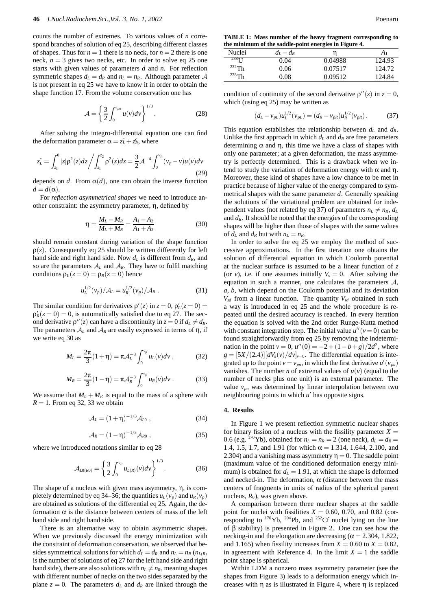counts the number of extremes. To various values of *n* correspond branches of solution of eq 25, describing different classes of shapes. Thus for  $n = 1$  there is no neck, for  $n = 2$  there is one neck,  $n = 3$  gives two necks, etc. In order to solve eq 25 one starts with given values of parameters *d* and *n*. For reflection symmetric shapes  $d_L = d_R$  and  $n_L = n_R$ . Although parameter A is not present in eq 25 we have to know it in order to obtain the shape function 17. From the volume conservation one has

$$
\mathcal{A} = \left\{ \frac{3}{2} \int_0^{v_{pn}} u(v) dv \right\}^{1/3}.
$$
 (28)

After solving the integro-differential equation one can find the deformation parameter  $\alpha = z_L^c + z_R^c$ , where

$$
z_L^c = \int_{z_1}^0 |z| \rho^2(z) dz \bigg/ \int_{z_1}^{z_2} \rho^2(z) dz = \frac{3}{2} \mathcal{A}^{-4} \int_0^{v_p} (v_p - v) u(v) dv \tag{29}
$$

depends on *d*. From  $\alpha(d)$ , one can obtain the inverse function  $d = d(\alpha)$ .

For *reflection asymmetrical shapes* we need to introduce another constraint: the asymmetry parameter, η, defined by

$$
\eta = \frac{M_L - M_R}{M_L + M_R} = \frac{A_1 - A_2}{A_1 + A_2} \tag{30}
$$

should remain constant during variation of the shape function  $\rho(z)$ . Consequently eq 25 should be written differently for left hand side and right hand side. Now  $d_L$  is different from  $d_R$ , and so are the parameters  $A_L$  and  $A_R$ . They have to fulfil matching conditions  $\rho_L(z=0) = \rho_R(z=0)$  hence

$$
u_L^{1/2}(v_p)/\mathcal{A}_L = u_R^{1/2}(v_p)/\mathcal{A}_R . \qquad (31)
$$

The similar condition for derivatives  $\rho'(z)$  in  $z = 0$ ,  $\rho'_L(z = 0) =$  $\rho'_R(z=0) = 0$ , is automatically satisfied due to eq 27. The second derivative  $\rho''(z)$  can have a discontinuity in  $z = 0$  if  $d_L \neq d_R$ . The parameters  $A_L$  and  $A_R$  are easily expressed in terms of  $\eta$ , if we write eq 30 as

$$
M_L = \frac{2\pi}{3}(1+\eta) = \pi A_L^{-3} \int_0^{v_p} u_L(v) dv , \qquad (32)
$$

$$
M_R = \frac{2\pi}{3}(1-\eta) = \pi A_R^{-3} \int_0^{v_p} u_R(v) dv . \tag{33}
$$

We assume that  $M_L + M_R$  is equal to the mass of a sphere with  $R = 1$ . From eq 32, 33 we obtain

$$
A_L = (1+\eta)^{-1/3} A_{L0} , \qquad (34)
$$

$$
A_R = (1 - \eta)^{-1/3} A_{R0} , \qquad (35)
$$

where we introduced notations similar to eq 28

$$
\mathcal{A}_{L0(R0)} = \left\{ \frac{3}{2} \int_0^{v_p} u_{L(R)}(v) dv \right\}^{1/3}.
$$
 (36)

The shape of a nucleus with given mass asymmetry, η, is completely determined by eq 34–36; the quantities  $u_L(v_p)$  and  $u_R(v_p)$ are obtained as solutions of the differential eq 25. Again, the deformation  $\alpha$  is the distance between centers of mass of the left hand side and right hand side.

There is an alternative way to obtain asymmetric shapes. When we previously discussed the energy minimization with the constraint of deformation conservation, we observed that besides symmetrical solutions for which  $d_L = d_R$  and  $n_L = n_R$  ( $n_{L(R)}$ ) is the number of solutions of eq 27 for the left hand side and right hand side), there are also solutions with  $n_L \neq n_R$ , meaning shapes with different number of necks on the two sides separated by the plane  $z = 0$ . The parameters  $d<sub>L</sub>$  and  $d<sub>R</sub>$  are linked through the

**TABLE 1: Mass number of the heavy fragment corresponding to the minimum of the saddle-point energies in Figure 4.**

| Nuclei             | $d_L - d_R$ |         | A <sub>1</sub> |
|--------------------|-------------|---------|----------------|
| $238$ <sup>T</sup> | 0.04        | 0.04988 | 124.93         |
| $232$ Th           | 0.06        | 0.07517 | 124.72         |
| $228$ Th           | 0.08        | 0.09512 | 124.84         |

condition of continuity of the second derivative  $\rho''(z)$  in  $z = 0$ , which (using eq 25) may be written as

$$
(d_L - v_{pL})u_L^{1/2}(v_{pL}) = (d_R - v_{pR})u_R^{1/2}(v_{pR}).
$$
 (37)

This equation establishes the relationship between  $d_L$  and  $d_R$ . Unlike the first approach in which  $d<sub>L</sub>$  and  $d<sub>R</sub>$  are free parameters determining α and η, this time we have a class of shapes with only one parameter; at a given deformation, the mass asymmetry is perfectly determined. This is a drawback when we intend to study the variation of deformation energy with  $\alpha$  and  $\eta$ . Moreover, these kind of shapes have a low chance to be met in practice because of higher value of the energy compared to symmetrical shapes with the same parameter *d*. Generally speaking the solutions of the variational problem are obtained for independent values (not related by eq 37) of parameters  $n_L \neq n_R$ ,  $d_L$ and  $d_R$ . It should be noted that the energies of the corresponding shapes will be higher than those of shapes with the same values of  $d_L$  and  $d_R$  but with  $n_L = n_R$ .

In order to solve the eq 25 we employ the method of successive approximations. In the first iteration one obtains the solution of differential equation in which Coulomb potential at the nuclear surface is assumed to be a linear function of *z* (or *v*), i.e. if one assumes initially  $V_s = 0$ . After solving the equation in such a manner, one calculates the parameters  $A$ , *a*, *b*, which depend on the Coulomb potential and its deviation  $V_{sd}$  from a linear function. The quantity  $V_{sd}$  obtained in such a way is introduced in eq 25 and the whole procedure is repeated until the desired accuracy is reached. In every iteration the equation is solved with the 2nd order Runge-Kutta method with constant integration step. The initial value  $u''(v=0)$  can be found straightforwardly from eq 25 by removing the indetermination in the point  $v = 0$ ,  $u''(0) = -2 + (1 - b + g)/2d^2$ , where  $g = [5X/(2A)][dV_s(v)/dv]_{v=0}$ . The differential equation is integrated up to the point  $v = v_{pn}$ , in which the first derivative  $u'(v_{pn})$ vanishes. The number *n* of extremal values of  $u(v)$  (equal to the number of necks plus one unit) is an external parameter. The value  $v_{pn}$  was determined by linear interpolation between two neighbouring points in which u' has opposite signs.

## **4. Results**

In Figure 1 we present reflection symmetric nuclear shapes for binary fission of a nucleus with the fissility parameter  $X =$ 0.6 (e.g. <sup>170</sup>Yb), obtained for  $n_L = n_R = 2$  (one neck),  $d_L = d_R =$ 1.4, 1.5, 1.7, and 1.91 (for which  $\alpha = 1.314$ , 1.644, 2.100, and 2.304) and a vanishing mass asymmetry  $\eta = 0$ . The saddle point (maximum value of the conditioned deformation energy minimum) is obtained for  $d<sub>L</sub> = 1.91$ , at which the shape is deformed and necked-in. The deformation,  $\alpha$  (distance between the mass centers of fragments in units of radius of the spherical parent nucleus,  $R_0$ ), was given above.

A comparison between three nuclear shapes at the saddle point for nuclei with fissilities  $X = 0.60, 0.70,$  and 0.82 (corresponding to  $170\gamma b$ ,  $204Pb$ , and  $252Cf$  nuclei lying on the line of β stability) is presented in Figure 2. One can see how the necking-in and the elongation are decreasing ( $\alpha$  = 2.304, 1.822, and 1.165) when fissility increases from  $X = 0.60$  to  $X = 0.82$ , in agreement with Reference 4. In the limit  $X = 1$  the saddle point shape is spherical.

Within LDM a nonzero mass asymmetry parameter (see the shapes from Figure 3) leads to a deformation energy which increases with η as is illustrated in Figure 4, where η is replaced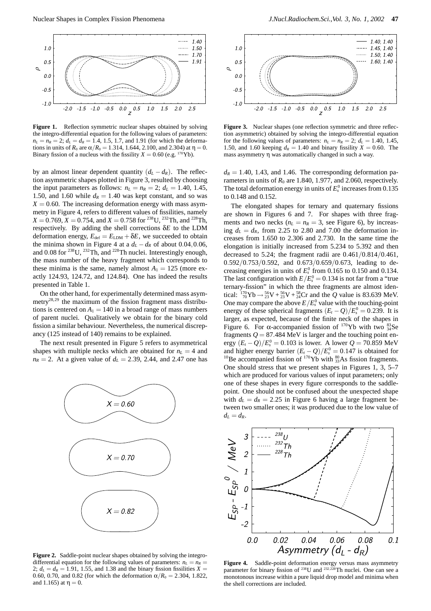

Figure 1. Reflection symmetric nuclear shapes obtained by solving the integro-differential equation for the following values of parameters:  $n_L = n_R = 2$ ;  $d_L = d_R = 1.4, 1.5, 1.7,$  and 1.91 (for which the deformations in units of  $R_0$  are  $\alpha/R_0 = 1.314, 1.644, 2.100,$  and 2.304) at  $\eta = 0$ . Binary fission of a nucleus with the fissility  $X = 0.60$  (e.g. <sup>170</sup>Yb).

by an almost linear dependent quantity  $(d_L - d_R)$ . The reflection asymmetric shapes plotted in Figure 3, resulted by choosing the input parameters as follows:  $n_L = n_R = 2$ ;  $d_L = 1.40$ , 1.45, 1.50, and 1.60 while  $d_R = 1.40$  was kept constant, and so was  $X = 0.60$ . The increasing deformation energy with mass asymmetry in Figure 4, refers to different values of fissilities, namely  $X = 0.769$ ,  $X = 0.754$ , and  $X = 0.758$  for <sup>238</sup>U, <sup>232</sup>Th, and <sup>228</sup>Th, respectively. By adding the shell corrections δ*E* to the LDM deformation energy,  $E_{\text{def}} = E_{\text{LDM}} + \delta E$ , we succeeded to obtain the minima shown in Figure 4 at a  $d_L - d_R$  of about 0.04,0.06, and 0.08 for <sup>238</sup>U, <sup>232</sup>Th, and <sup>228</sup>Th nuclei. Interestingly enough, the mass number of the heavy fragment which corresponds to these minima is the same, namely almost  $A_1 = 125$  (more exactly 124.93, 124.72, and 124.84). One has indeed the results presented in Table 1.

On the other hand, for experimentally determined mass asymmetry<sup>28,29</sup> the maximum of the fission fragment mass distributions is centered on  $A_1 = 140$  in a broad range of mass numbers of parent nuclei. Qualitatively we obtain for the binary cold fission a similar behaviour. Nevertheless, the numerical discrepancy (125 instead of 140) remains to be explained.

The next result presented in Figure 5 refers to asymmetrical shapes with multiple necks which are obtained for  $n<sub>L</sub> = 4$  and  $n_R = 2$ . At a given value of  $d_L = 2.39, 2.44,$  and 2.47 one has



**Figure 2.** Saddle-point nuclear shapes obtained by solving the integrodifferential equation for the following values of parameters:  $n_l = n_R$ 2;  $d_L = d_R = 1.91$ , 1.55, and 1.38 and the binary fission fissilities  $X =$ 0.60, 0.70, and 0.82 (for which the deformation  $\alpha/R_0 = 2.304$ , 1.822, and 1.165) at  $η = 0$ .



Figure 3. Nuclear shapes (one reflection symmetric and three reflection asymmetric) obtained by solving the integro-differential equation for the following values of parameters:  $n_L = n_R = 2$ ;  $d_L = 1.40$ , 1.45, 1.50, and 1.60 keeping  $d_R = 1.40$  and binary fissility  $X = 0.60$ . The mass asymmetry η was automatically changed in such a way.

 $d_R = 1.40, 1.43,$  and 1.46. The corresponding deformation parameters in units of  $R_0$  are 1.840, 1.977, and 2.060, respectively. The total deformation energy in units of  $E_s^0$  increases from 0.135 to 0.148 and 0.152.

The elongated shapes for ternary and quaternary fissions are shown in Figures 6 and 7. For shapes with three fragments and two necks  $(n_L = n_R = 3$ , see Figure 6), by increasing  $d_l = d_R$ , from 2.25 to 2.80 and 7.00 the deformation increases from 1.650 to 2.306 and 2.730. In the same time the elongation is initially increased from 5.234 to 5.392 and then decreased to 5.24; the fragment radii are 0*.*461*/*0*.*814*/*0*.*461, 0*.*592*/*0*.*753*/*0*.*592, and 0*.*673*/*0*.*659*/*0*.*673, leading to decreasing energies in units of  $E_s^0$  from 0.165 to 0.150 and 0.134. The last configuration with  $E/E_s^0 = 0.134$  is not far from a "true ternary-fission" in which the three fragments are almost identical:  $^{170}_{70}Yb \rightarrow ^{56}_{23}V + ^{56}_{23}V + ^{58}_{24}Cr$  and the *Q* value is 83.639 MeV. One may compare the above  $E/E_s^0$  value with the touching-point energy of these spherical fragments  $(E_t - Q)/E_s^0 = 0.239$ . It is larger, as expected, because of the finite neck of the shapes in Figure 6. For  $\alpha$ -accompanied fission of <sup>170</sup>Yb with two  $^{83}_{34}$ Se fragments  $Q = 87.484 \text{ MeV}$  is larger and the touching point en- $\text{ergy } (E_t - Q)/E_s^0 = 0.103 \text{ is lower. A lower } Q = 70.859 \text{ MeV}$ and higher energy barrier  $(E_t - Q)/E_s^0 = 0.147$  is obtained for and higher energy barrier  $(E_t - Q)/E_s^0 = 0.147$  is obtained for <sup>10</sup>Be accompanied fission of <sup>170</sup>Yb with <sup>80</sup><sub>33</sub>As fission fragments. One should stress that we present shapes in Figures 1, 3, 5–7 which are produced for various values of input parameters; only one of these shapes in every figure corresponds to the saddlepoint. One should not be confused about the unexpected shape with  $d_L = d_R = 2.25$  in Figure 6 having a large fragment between two smaller ones; it was produced due to the low value of  $d_L = d_R$ .



**Figure 4.** Saddle-point deformation energy versus mass asymmetry parameter for binary fission of 238U and <sup>232</sup>*,*228Th nuclei. One can see a monotonous increase within a pure liquid drop model and minima when the shell corrections are included.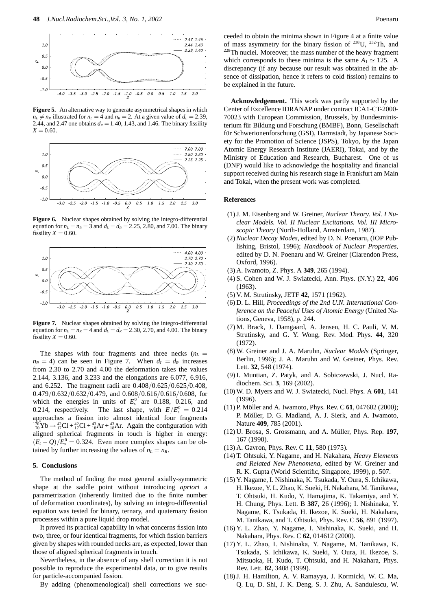

**Figure 5.** An alternative way to generate asymmetrical shapes in which  $n_L \neq n_R$  illustrated for  $n_L = 4$  and  $n_R = 2$ . At a given value of  $d_L = 2.39$ , 2.44, and 2.47 one obtains  $d_R = 1.40$ , 1.43, and 1.46. The binary fissility  $X = 0.60$ .



Figure 6. Nuclear shapes obtained by solving the integro-differential equation for  $n_L = n_R = 3$  and  $d_L = d_R = 2.25, 2.80,$  and 7.00. The binary fissility  $X = 0.60$ .



**Figure 7.** Nuclear shapes obtained by solving the integro-differential equation for  $n_l = n_R = 4$  and  $d_l = d_R = 2.30, 2.70,$  and 4.00. The binary fissility  $X = 0.60$ .

The shapes with four fragments and three necks  $(n_L =$  $n_R = 4$ ) can be seen in Figure 7. When  $d_L = d_R$  increases from 2.30 to 2.70 and 4.00 the deformation takes the values 2.144, 3.136, and 3.233 and the elongations are 6.077, 6.916, and 6.252. The fragment radii are 0*.*408*/*0*.*625*/*0*.*625*/*0*.*408, 0*.*479*/*0*.*632*/*0*.*632*/*0*.*479, and 0*.*608*/*0*.*616*/*0*.*616*/*0*.*608, for which the energies in units of  $E_s^0$  are 0.188, 0.216, and 0.214, respectively. The last shape, with  $E/E_s^0 = 0.214$ approaches a fission into almost identical four fragments  $^{170}_{70}Yb \rightarrow ^{42}_{17}Cl + ^{42}_{18}Ar + ^{43}_{18}Ar$ . Again the configuration with aligned spherical fragments in touch is higher in energy:  $(E_t - Q)/E_s^0 = 0.324$ . Even more complex shapes can be obtained by further increasing the values of  $n_L = n_R$ .

#### **5. Conclusions**

The method of finding the most general axially-symmetric shape at the saddle point without introducing *apriori* a parametrization (inherently limited due to the finite number of deformation coordinates), by solving an integro-differential equation was tested for binary, ternary, and quaternary fission processes within a pure liquid drop model.

It proved its practical capability in what concerns fission into two, three, or four identical fragments, for which fission barriers given by shapes with rounded necks are, as expected, lower than those of aligned spherical fragments in touch.

Nevertheless, in the absence of any shell correction it is not possible to reproduce the experimental data, or to give results for particle-accompanied fission.

By adding (phenomenological) shell corrections we suc-

ceeded to obtain the minima shown in Figure 4 at a finite value of mass asymmetry for the binary fission of  $^{238}$ U,  $^{232}$ Th, and <sup>228</sup>Th nuclei. Moreover, the mass number of the heavy fragment which corresponds to these minima is the same  $A_1 \simeq 125$ . A discrepancy (if any because our result was obtained in the absence of dissipation, hence it refers to cold fission) remains to be explained in the future.

**Acknowledgement.** This work was partly supported by the Center of Excellence IDRANAP under contract ICA1-CT-2000- 70023 with European Commission, Brussels, by Bundesministerium für Bildung und Forschung (BMBF), Bonn, Gesellschaft für Schwerionenforschung (GSI), Darmstadt, by Japanese Society for the Promotion of Science (JSPS), Tokyo, by the Japan Atomic Energy Research Institute (JAERI), Tokai, and by the Ministry of Education and Research, Bucharest. One of us (DNP) would like to acknowledge the hospitality and financial support received during his research stage in Frankfurt am Main and Tokai, when the present work was completed.

#### **References**

- (1) J. M. Eisenberg and W. Greiner, *Nuclear Theory. Vol. I Nuclear Models. Vol. II Nuclear Excitations. Vol. III Microscopic Theory* (North-Holland, Amsterdam, 1987).
- (2)*Nuclear Decay Modes*, edited by D. N. Poenaru, (IOP Publishing, Bristol, 1996); *Handbook of Nuclear Properties*, edited by D. N. Poenaru and W. Greiner (Clarendon Press, Oxford, 1996).
- (3) A. Iwamoto, Z. Phys. A **349**, 265 (1994).
- (4) S. Cohen and W. J. Swiatecki, Ann. Phys. (N.Y.) **22**, 406 (1963).
- (5) V. M. Strutinsky, JETF **42**, 1571 (1962).
- (6) D. L. Hill, *Proceedings of the 2nd U.N. International Conference on the Peaceful Uses of Atomic Energy* (United Nations, Geneva, 1958), p. 244.
- (7) M. Brack, J. Damgaard, A. Jensen, H. C. Pauli, V. M. Strutinsky, and G. Y. Wong, Rev. Mod. Phys. **44**, 320 (1972).
- (8) W. Greiner and J. A. Maruhn, *Nuclear Models* (Springer, Berlin, 1996); J. A. Maruhn and W. Greiner, Phys. Rev. Lett. **32**, 548 (1974).
- (9) I. Muntian, Z. Patyk, and A. Sobiczewski, J. Nucl. Radiochem. Sci. **3**, 169 (2002).
- (10) W. D. Myers and W. J. Swiatecki, Nucl. Phys. A **601**, 141 (1996).
- (11) P. Möller and A. Iwamoto, Phys. Rev. C 61, 047602 (2000); P. Möller, D. G. Madland, A. J. Sierk, and A. Iwamoto, Nature **409**, 785 (2001).
- (12) U. Brosa, S. Grossmann, and A. M¨uller, Phys. Rep. **197**, 167 (1990).
- (13) A. Gavron, Phys. Rev. C **11**, 580 (1975).
- (14) T. Ohtsuki, Y. Nagame, and H. Nakahara, *Heavy Elements and Related New Phenomena*, edited by W. Greiner and R. K. Gupta (World Scientific, Singapore, 1999), p. 507.
- (15) Y. Nagame, I. Nishinaka, K. Tsukada, Y. Oura, S. Ichikawa, H. Ikezoe, Y. L. Zhao, K. Sueki, H. Nakahara, M. Tanikawa, T. Ohtsuki, H. Kudo, Y. Hamajima, K. Takamiya, and Y. H. Chung, Phys. Lett. B **387**, 26 (1996); I. Nishinaka, Y. Nagame, K. Tsukada, H. Ikezoe, K. Sueki, H. Nakahara, M. Tanikawa, and T. Ohtsuki, Phys. Rev. C **56**, 891 (1997).
- (16) Y. L. Zhao, Y. Nagame, I. Nishinaka, K. Sueki, and H. Nakahara, Phys. Rev. C **62**, 014612 (2000).
- (17) Y. L. Zhao, I. Nishinaka, Y. Nagame, M. Tanikawa, K. Tsukada, S. Ichikawa, K. Sueki, Y. Oura, H. Ikezoe, S. Mitsuoka, H. Kudo, T. Ohtsuki, and H. Nakahara, Phys. Rev. Lett. **82**, 3408 (1999).
- (18) J. H. Hamilton, A. V. Ramayya, J. Kormicki, W. C. Ma, Q. Lu, D. Shi, J. K. Deng, S. J. Zhu, A. Sandulescu, W.